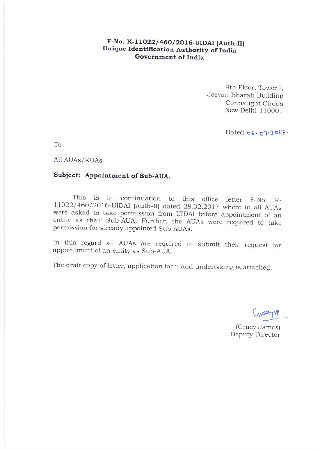#### F-No. K-11022/460/2016-UIDAI (Auth-II) Unique Identification Authority of India Government of India

9th Floor, Tower I. Jeevan Bharati Building Connaught Circus New Delhi-110001

Dated: 06 . 07 . 2017 .

To

All AUAs/KUAs

## Subject: Appointment of Sub-AUA.

This is in continuation to this office letter F-No. K-1|1022/460/2016-UIDAI (Auth-II) dated 28.02.2017 where in all AUAs were asked to take permission from UIDAI before appointment of an entity as their Sub-AUA. Further, the AUAs were required to take permission for already appointed Sub-AUAs.

In this regard all AUAs are required to submit their request for appointment of an entity as Sub-AUA.

The draft copy of letter, application form and undertaking is attached.

varyNP

(Gracy James) Deputy Director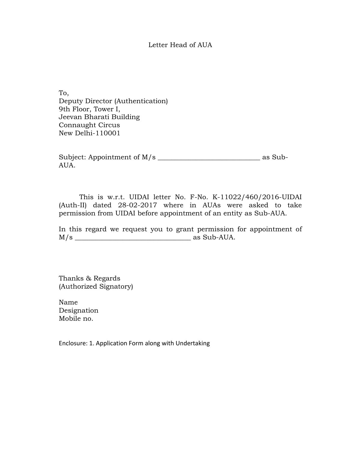#### Letter Head of AUA

To, Deputy Director (Authentication) 9th Floor, Tower I, Jeevan Bharati Building Connaught Circus New Delhi-110001

Subject: Appointment of M/s \_\_\_\_\_\_\_\_\_\_\_\_\_\_\_\_\_\_\_\_\_\_\_\_\_\_\_\_\_\_ as Sub-AUA.

This is w.r.t. UIDAI letter No. F-No. K-11022/460/2016-UIDAI (Auth-II) dated 28-02-2017 where in AUAs were asked to take permission from UIDAI before appointment of an entity as Sub-AUA.

In this regard we request you to grant permission for appointment of M/s \_\_\_\_\_\_\_\_\_\_\_\_\_\_\_\_\_\_\_\_\_\_\_\_\_\_\_\_\_\_\_\_\_\_ as Sub-AUA.

Thanks & Regards (Authorized Signatory)

Name Designation Mobile no.

Enclosure: 1. Application Form along with Undertaking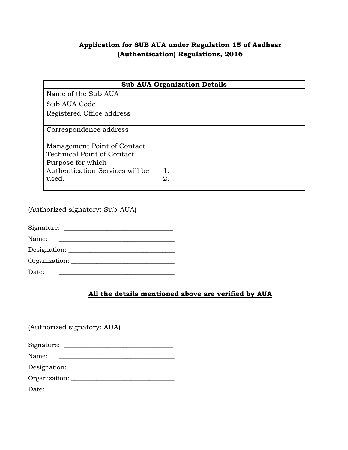## **Application for SUB AUA under Regulation 15 of Aadhaar (Authentication) Regulations, 2016**

| <b>Sub AUA Organization Details</b>                           |          |
|---------------------------------------------------------------|----------|
| Name of the Sub AUA                                           |          |
| Sub AUA Code                                                  |          |
| Registered Office address                                     |          |
| Correspondence address                                        |          |
| Management Point of Contact                                   |          |
| <b>Technical Point of Contact</b>                             |          |
| Purpose for which<br>Authentication Services will be<br>used. | 1.<br>2. |
|                                                               |          |

(Authorized signatory: Sub-AUA)

Signature: \_\_\_\_\_\_\_\_\_\_\_\_\_\_\_\_\_\_\_\_\_\_\_\_\_\_\_\_\_\_\_\_\_\_\_ Name: \_\_\_\_\_\_\_\_\_\_\_\_\_\_\_\_\_\_\_\_\_\_\_\_\_\_\_\_\_\_\_\_\_\_\_\_\_

Designation: \_\_\_\_\_\_\_\_\_\_\_\_\_\_\_\_\_\_\_\_\_\_\_\_\_\_\_\_\_\_\_\_\_\_

Organization: \_\_\_\_\_\_\_\_\_\_\_\_\_\_\_\_\_\_\_\_\_\_\_\_\_\_\_\_\_\_\_\_\_

Date: \_\_\_\_\_\_\_\_\_\_\_\_\_\_\_\_\_\_\_\_\_\_\_\_\_\_\_\_\_\_\_\_\_\_\_\_\_

### **All the details mentioned above are verified by AUA**

(Authorized signatory: AUA)

Signature: \_\_\_\_\_\_\_\_\_\_\_\_\_\_\_\_\_\_\_\_\_\_\_\_\_\_\_\_\_\_\_\_\_\_\_

Name: \_\_\_\_\_\_\_\_\_\_\_\_\_\_\_\_\_\_\_\_\_\_\_\_\_\_\_\_\_\_\_\_\_\_\_\_\_

Designation: \_\_\_\_\_\_\_\_\_\_\_\_\_\_\_\_\_\_\_\_\_\_\_\_\_\_\_\_\_\_\_\_\_\_

Organization: \_\_\_\_\_\_\_\_\_\_\_\_\_\_\_\_\_\_\_\_\_\_\_\_\_\_\_\_\_\_\_\_\_

Date: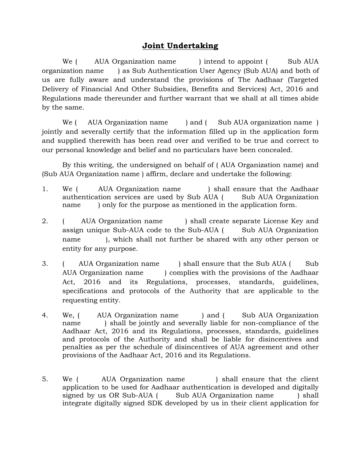# **Joint Undertaking**

We ( AUA Organization name ) intend to appoint ( Sub AUA organization name ) as Sub Authentication User Agency (Sub AUA) and both of us are fully aware and understand the provisions of The Aadhaar (Targeted Delivery of Financial And Other Subsidies, Benefits and Services) Act, 2016 and Regulations made thereunder and further warrant that we shall at all times abide by the same.

We ( AUA Organization name ) and ( Sub AUA organization name ) jointly and severally certify that the information filled up in the application form and supplied therewith has been read over and verified to be true and correct to our personal knowledge and belief and no particulars have been concealed.

By this writing, the undersigned on behalf of ( AUA Organization name) and (Sub AUA Organization name ) affirm, declare and undertake the following:

- 1. We ( AUA Organization name ) shall ensure that the Aadhaar authentication services are used by Sub AUA (Sub AUA Organization name ) only for the purpose as mentioned in the application form.
- 2. ( AUA Organization name ) shall create separate License Key and assign unique Sub-AUA code to the Sub-AUA (Sub AUA Organization name ), which shall not further be shared with any other person or entity for any purpose.
- 3. ( AUA Organization name ) shall ensure that the Sub AUA ( Sub AUA Organization name ) complies with the provisions of the Aadhaar Act, 2016 and its Regulations, processes, standards, guidelines, specifications and protocols of the Authority that are applicable to the requesting entity.
- 4. We, ( AUA Organization name ) and ( Sub AUA Organization name ) shall be jointly and severally liable for non-compliance of the Aadhaar Act, 2016 and its Regulations, processes, standards, guidelines and protocols of the Authority and shall be liable for disincentives and penalties as per the schedule of disincentives of AUA agreement and other provisions of the Aadhaar Act, 2016 and its Regulations.
- 5. We ( AUA Organization name ) shall ensure that the client application to be used for Aadhaar authentication is developed and digitally signed by us OR Sub-AUA (Sub AUA Organization name) shall integrate digitally signed SDK developed by us in their client application for